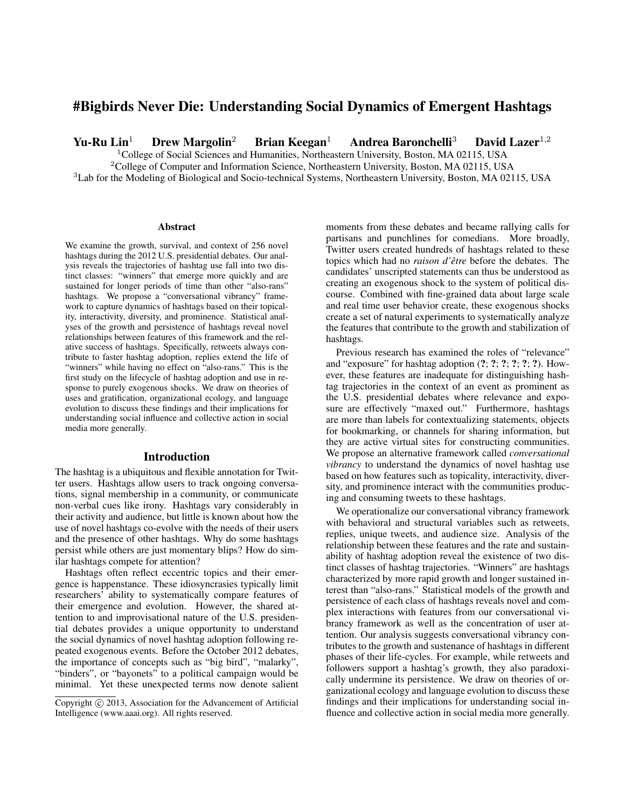## #Bigbirds Never Die: Understanding Social Dynamics of Emergent Hashtags

Yu-Ru Lin<sup>1</sup> Drew Margolin<sup>2</sup> Brian Keegan<sup>1</sup> Andrea Baronchelli<sup>3</sup> David Lazer<sup>1,2</sup>

<sup>1</sup>College of Social Sciences and Humanities, Northeastern University, Boston, MA 02115, USA

 $2^2$ College of Computer and Information Science, Northeastern University, Boston, MA 02115, USA

<sup>3</sup>Lab for the Modeling of Biological and Socio-technical Systems, Northeastern University, Boston, MA 02115, USA

#### Abstract

We examine the growth, survival, and context of 256 novel hashtags during the 2012 U.S. presidential debates. Our analysis reveals the trajectories of hashtag use fall into two distinct classes: "winners" that emerge more quickly and are sustained for longer periods of time than other "also-rans" hashtags. We propose a "conversational vibrancy" framework to capture dynamics of hashtags based on their topicality, interactivity, diversity, and prominence. Statistical analyses of the growth and persistence of hashtags reveal novel relationships between features of this framework and the relative success of hashtags. Specifically, retweets always contribute to faster hashtag adoption, replies extend the life of "winners" while having no effect on "also-rans." This is the first study on the lifecycle of hashtag adoption and use in response to purely exogenous shocks. We draw on theories of uses and gratification, organizational ecology, and language evolution to discuss these findings and their implications for understanding social influence and collective action in social media more generally.

#### Introduction

The hashtag is a ubiquitous and flexible annotation for Twitter users. Hashtags allow users to track ongoing conversations, signal membership in a community, or communicate non-verbal cues like irony. Hashtags vary considerably in their activity and audience, but little is known about how the use of novel hashtags co-evolve with the needs of their users and the presence of other hashtags. Why do some hashtags persist while others are just momentary blips? How do similar hashtags compete for attention?

Hashtags often reflect eccentric topics and their emergence is happenstance. These idiosyncrasies typically limit researchers' ability to systematically compare features of their emergence and evolution. However, the shared attention to and improvisational nature of the U.S. presidential debates provides a unique opportunity to understand the social dynamics of novel hashtag adoption following repeated exogenous events. Before the October 2012 debates, the importance of concepts such as "big bird", "malarky", "binders", or "bayonets" to a political campaign would be minimal. Yet these unexpected terms now denote salient moments from these debates and became rallying calls for partisans and punchlines for comedians. More broadly, Twitter users created hundreds of hashtags related to these topics which had no *raison d'être* before the debates. The candidates' unscripted statements can thus be understood as creating an exogenous shock to the system of political discourse. Combined with fine-grained data about large scale and real time user behavior create, these exogenous shocks create a set of natural experiments to systematically analyze the features that contribute to the growth and stabilization of hashtags.

Previous research has examined the roles of "relevance" and "exposure" for hashtag adoption (?; ?; ?; ?; ?; ?). However, these features are inadequate for distinguishing hashtag trajectories in the context of an event as prominent as the U.S. presidential debates where relevance and exposure are effectively "maxed out." Furthermore, hashtags are more than labels for contextualizing statements, objects for bookmarking, or channels for sharing information, but they are active virtual sites for constructing communities. We propose an alternative framework called *conversational vibrancy* to understand the dynamics of novel hashtag use based on how features such as topicality, interactivity, diversity, and prominence interact with the communities producing and consuming tweets to these hashtags.

We operationalize our conversational vibrancy framework with behavioral and structural variables such as retweets, replies, unique tweets, and audience size. Analysis of the relationship between these features and the rate and sustainability of hashtag adoption reveal the existence of two distinct classes of hashtag trajectories. "Winners" are hashtags characterized by more rapid growth and longer sustained interest than "also-rans." Statistical models of the growth and persistence of each class of hashtags reveals novel and complex interactions with features from our conversational vibrancy framework as well as the concentration of user attention. Our analysis suggests conversational vibrancy contributes to the growth and sustenance of hashtags in different phases of their life-cycles. For example, while retweets and followers support a hashtag's growth, they also paradoxically undermine its persistence. We draw on theories of organizational ecology and language evolution to discuss these findings and their implications for understanding social influence and collective action in social media more generally.

Copyright (c) 2013, Association for the Advancement of Artificial Intelligence (www.aaai.org). All rights reserved.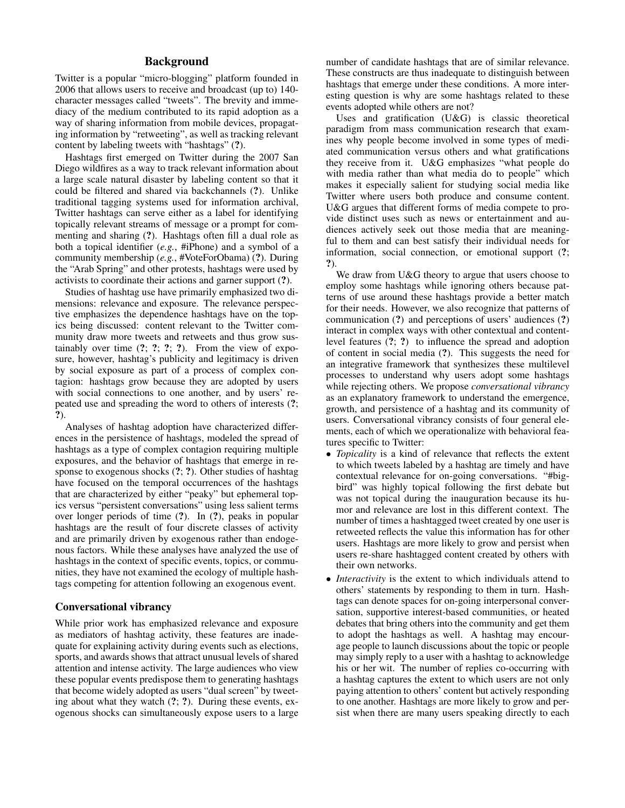## Background

Twitter is a popular "micro-blogging" platform founded in 2006 that allows users to receive and broadcast (up to) 140 character messages called "tweets". The brevity and immediacy of the medium contributed to its rapid adoption as a way of sharing information from mobile devices, propagating information by "retweeting", as well as tracking relevant content by labeling tweets with "hashtags" (?).

Hashtags first emerged on Twitter during the 2007 San Diego wildfires as a way to track relevant information about a large scale natural disaster by labeling content so that it could be filtered and shared via backchannels (?). Unlike traditional tagging systems used for information archival, Twitter hashtags can serve either as a label for identifying topically relevant streams of message or a prompt for commenting and sharing (?). Hashtags often fill a dual role as both a topical identifier (*e.g.*, #iPhone) and a symbol of a community membership (*e.g.*, #VoteForObama) (?). During the "Arab Spring" and other protests, hashtags were used by activists to coordinate their actions and garner support (?).

Studies of hashtag use have primarily emphasized two dimensions: relevance and exposure. The relevance perspective emphasizes the dependence hashtags have on the topics being discussed: content relevant to the Twitter community draw more tweets and retweets and thus grow sustainably over time  $(?, ?; ?; ?)$ . From the view of exposure, however, hashtag's publicity and legitimacy is driven by social exposure as part of a process of complex contagion: hashtags grow because they are adopted by users with social connections to one another, and by users' repeated use and spreading the word to others of interests (?; ?).

Analyses of hashtag adoption have characterized differences in the persistence of hashtags, modeled the spread of hashtags as a type of complex contagion requiring multiple exposures, and the behavior of hashtags that emerge in response to exogenous shocks (?; ?). Other studies of hashtag have focused on the temporal occurrences of the hashtags that are characterized by either "peaky" but ephemeral topics versus "persistent conversations" using less salient terms over longer periods of time (?). In (?), peaks in popular hashtags are the result of four discrete classes of activity and are primarily driven by exogenous rather than endogenous factors. While these analyses have analyzed the use of hashtags in the context of specific events, topics, or communities, they have not examined the ecology of multiple hashtags competing for attention following an exogenous event.

#### Conversational vibrancy

While prior work has emphasized relevance and exposure as mediators of hashtag activity, these features are inadequate for explaining activity during events such as elections, sports, and awards shows that attract unusual levels of shared attention and intense activity. The large audiences who view these popular events predispose them to generating hashtags that become widely adopted as users "dual screen" by tweeting about what they watch (?; ?). During these events, exogenous shocks can simultaneously expose users to a large

number of candidate hashtags that are of similar relevance. These constructs are thus inadequate to distinguish between hashtags that emerge under these conditions. A more interesting question is why are some hashtags related to these events adopted while others are not?

Uses and gratification (U&G) is classic theoretical paradigm from mass communication research that examines why people become involved in some types of mediated communication versus others and what gratifications they receive from it. U&G emphasizes "what people do with media rather than what media do to people" which makes it especially salient for studying social media like Twitter where users both produce and consume content. U&G argues that different forms of media compete to provide distinct uses such as news or entertainment and audiences actively seek out those media that are meaningful to them and can best satisfy their individual needs for information, social connection, or emotional support (?; ?).

We draw from U&G theory to argue that users choose to employ some hashtags while ignoring others because patterns of use around these hashtags provide a better match for their needs. However, we also recognize that patterns of communication (?) and perceptions of users' audiences (?) interact in complex ways with other contextual and contentlevel features (?; ?) to influence the spread and adoption of content in social media (?). This suggests the need for an integrative framework that synthesizes these multilevel processes to understand why users adopt some hashtags while rejecting others. We propose *conversational vibrancy* as an explanatory framework to understand the emergence, growth, and persistence of a hashtag and its community of users. Conversational vibrancy consists of four general elements, each of which we operationalize with behavioral features specific to Twitter:

- *Topicality* is a kind of relevance that reflects the extent to which tweets labeled by a hashtag are timely and have contextual relevance for on-going conversations. "#bigbird" was highly topical following the first debate but was not topical during the inauguration because its humor and relevance are lost in this different context. The number of times a hashtagged tweet created by one user is retweeted reflects the value this information has for other users. Hashtags are more likely to grow and persist when users re-share hashtagged content created by others with their own networks.
- *Interactivity* is the extent to which individuals attend to others' statements by responding to them in turn. Hashtags can denote spaces for on-going interpersonal conversation, supportive interest-based communities, or heated debates that bring others into the community and get them to adopt the hashtags as well. A hashtag may encourage people to launch discussions about the topic or people may simply reply to a user with a hashtag to acknowledge his or her wit. The number of replies co-occurring with a hashtag captures the extent to which users are not only paying attention to others' content but actively responding to one another. Hashtags are more likely to grow and persist when there are many users speaking directly to each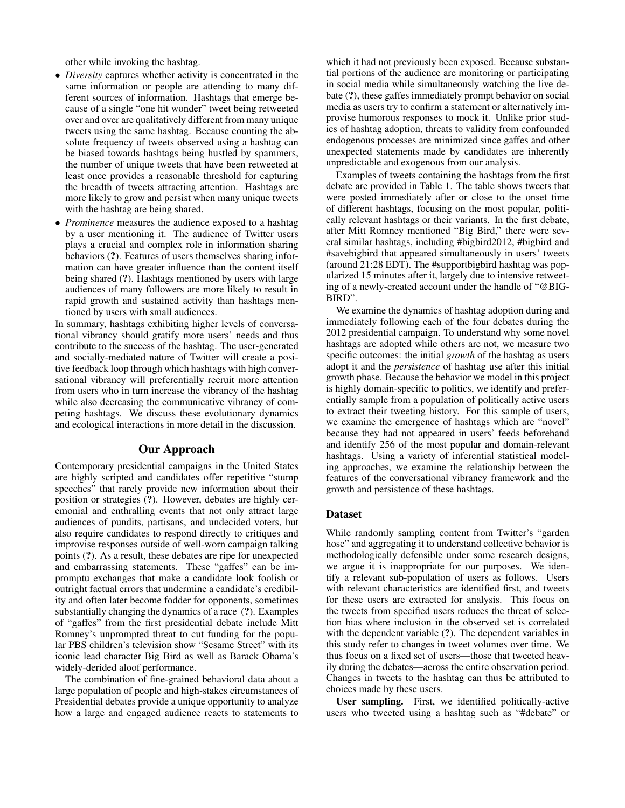other while invoking the hashtag.

- *Diversity* captures whether activity is concentrated in the same information or people are attending to many different sources of information. Hashtags that emerge because of a single "one hit wonder" tweet being retweeted over and over are qualitatively different from many unique tweets using the same hashtag. Because counting the absolute frequency of tweets observed using a hashtag can be biased towards hashtags being hustled by spammers, the number of unique tweets that have been retweeted at least once provides a reasonable threshold for capturing the breadth of tweets attracting attention. Hashtags are more likely to grow and persist when many unique tweets with the hashtag are being shared.
- *Prominence* measures the audience exposed to a hashtag by a user mentioning it. The audience of Twitter users plays a crucial and complex role in information sharing behaviors (?). Features of users themselves sharing information can have greater influence than the content itself being shared (?). Hashtags mentioned by users with large audiences of many followers are more likely to result in rapid growth and sustained activity than hashtags mentioned by users with small audiences.

In summary, hashtags exhibiting higher levels of conversational vibrancy should gratify more users' needs and thus contribute to the success of the hashtag. The user-generated and socially-mediated nature of Twitter will create a positive feedback loop through which hashtags with high conversational vibrancy will preferentially recruit more attention from users who in turn increase the vibrancy of the hashtag while also decreasing the communicative vibrancy of competing hashtags. We discuss these evolutionary dynamics and ecological interactions in more detail in the discussion.

#### Our Approach

Contemporary presidential campaigns in the United States are highly scripted and candidates offer repetitive "stump speeches" that rarely provide new information about their position or strategies (?). However, debates are highly ceremonial and enthralling events that not only attract large audiences of pundits, partisans, and undecided voters, but also require candidates to respond directly to critiques and improvise responses outside of well-worn campaign talking points (?). As a result, these debates are ripe for unexpected and embarrassing statements. These "gaffes" can be impromptu exchanges that make a candidate look foolish or outright factual errors that undermine a candidate's credibility and often later become fodder for opponents, sometimes substantially changing the dynamics of a race (?). Examples of "gaffes" from the first presidential debate include Mitt Romney's unprompted threat to cut funding for the popular PBS children's television show "Sesame Street" with its iconic lead character Big Bird as well as Barack Obama's widely-derided aloof performance.

The combination of fine-grained behavioral data about a large population of people and high-stakes circumstances of Presidential debates provide a unique opportunity to analyze how a large and engaged audience reacts to statements to

which it had not previously been exposed. Because substantial portions of the audience are monitoring or participating in social media while simultaneously watching the live debate (?), these gaffes immediately prompt behavior on social media as users try to confirm a statement or alternatively improvise humorous responses to mock it. Unlike prior studies of hashtag adoption, threats to validity from confounded endogenous processes are minimized since gaffes and other unexpected statements made by candidates are inherently unpredictable and exogenous from our analysis.

Examples of tweets containing the hashtags from the first debate are provided in Table 1. The table shows tweets that were posted immediately after or close to the onset time of different hashtags, focusing on the most popular, politically relevant hashtags or their variants. In the first debate, after Mitt Romney mentioned "Big Bird," there were several similar hashtags, including #bigbird2012, #bigbird and #savebigbird that appeared simultaneously in users' tweets (around 21:28 EDT). The #supportbigbird hashtag was popularized 15 minutes after it, largely due to intensive retweeting of a newly-created account under the handle of "@BIG-BIRD".

We examine the dynamics of hashtag adoption during and immediately following each of the four debates during the 2012 presidential campaign. To understand why some novel hashtags are adopted while others are not, we measure two specific outcomes: the initial *growth* of the hashtag as users adopt it and the *persistence* of hashtag use after this initial growth phase. Because the behavior we model in this project is highly domain-specific to politics, we identify and preferentially sample from a population of politically active users to extract their tweeting history. For this sample of users, we examine the emergence of hashtags which are "novel" because they had not appeared in users' feeds beforehand and identify 256 of the most popular and domain-relevant hashtags. Using a variety of inferential statistical modeling approaches, we examine the relationship between the features of the conversational vibrancy framework and the growth and persistence of these hashtags.

#### Dataset

While randomly sampling content from Twitter's "garden hose" and aggregating it to understand collective behavior is methodologically defensible under some research designs, we argue it is inappropriate for our purposes. We identify a relevant sub-population of users as follows. Users with relevant characteristics are identified first, and tweets for these users are extracted for analysis. This focus on the tweets from specified users reduces the threat of selection bias where inclusion in the observed set is correlated with the dependent variable (?). The dependent variables in this study refer to changes in tweet volumes over time. We thus focus on a fixed set of users—those that tweeted heavily during the debates—across the entire observation period. Changes in tweets to the hashtag can thus be attributed to choices made by these users.

User sampling. First, we identified politically-active users who tweeted using a hashtag such as "#debate" or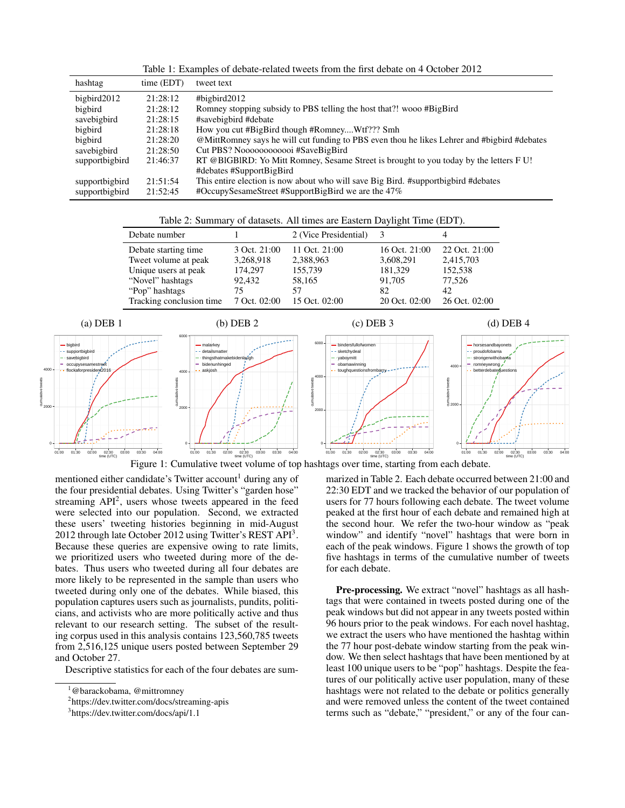Table 1: Examples of debate-related tweets from the first debate on 4 October 2012

| hashtag        | time (EDT) | tweet text                                                                                  |
|----------------|------------|---------------------------------------------------------------------------------------------|
| bigbird2012    | 21:28:12   | #bigbird2012                                                                                |
| bigbird        | 21:28:12   | Romney stopping subsidy to PBS telling the host that?! wooo #BigBird                        |
| savebigbird    | 21:28:15   | #savebigbird #debate                                                                        |
| bigbird        | 21:28:18   | How you cut #BigBird though #RomneyWtf??? Smh                                               |
| bigbird        | 21:28:20   | @MittRomney says he will cut funding to PBS even thou he likes Lehrer and #bigbird #debates |
| savebigbird    | 21:28:50   |                                                                                             |
| supportbigbird | 21:46:37   | RT @BIGBIRD: Yo Mitt Romney, Sesame Street is brought to you today by the letters FU!       |
|                |            | #debates #SupportBigBird                                                                    |
| supportbigbird | 21:51:54   | This entire election is now about who will save Big Bird. #support big bird #debates        |
| supportbigbird | 21:52:45   | #OccupySesameStreet #SupportBigBird we are the 47%                                          |

Table 2: Summary of datasets. All times are Eastern Daylight Time (EDT).

| Debate number                                |                      | 2 (Vice Presidential) |                      |                      |
|----------------------------------------------|----------------------|-----------------------|----------------------|----------------------|
| Debate starting time.                        | 3 Oct. 21:00         | 11 Oct. 21:00         | 16 Oct. 21:00        | 22 Oct. 21:00        |
| Tweet volume at peak<br>Unique users at peak | 3,268,918<br>174.297 | 2,388,963<br>155,739  | 3,608,291<br>181,329 | 2,415,703<br>152,538 |
| "Novel" hashtags                             | 92,432               | 58,165                | 91.705               | 77,526               |
| "Pop" hashtags                               | 75                   | 57                    | 82                   | 42                   |
| Tracking conclusion time                     | 7 Oct. 02:00         | 15 Oct. 02:00         | 20 Oct. 02:00        | 26 Oct. 02:00        |





mentioned either candidate's Twitter account<sup>1</sup> during any of the four presidential debates. Using Twitter's "garden hose" streaming API<sup>2</sup> , users whose tweets appeared in the feed were selected into our population. Second, we extracted these users' tweeting histories beginning in mid-August 2012 through late October 2012 using Twitter's REST API<sup>3</sup>. Because these queries are expensive owing to rate limits, we prioritized users who tweeted during more of the debates. Thus users who tweeted during all four debates are more likely to be represented in the sample than users who tweeted during only one of the debates. While biased, this population captures users such as journalists, pundits, politicians, and activists who are more politically active and thus relevant to our research setting. The subset of the resulting corpus used in this analysis contains 123,560,785 tweets from 2,516,125 unique users posted between September 29 and October 27.

Descriptive statistics for each of the four debates are sum-

marized in Table 2. Each debate occurred between 21:00 and 22:30 EDT and we tracked the behavior of our population of users for 77 hours following each debate. The tweet volume peaked at the first hour of each debate and remained high at the second hour. We refer the two-hour window as "peak window" and identify "novel" hashtags that were born in each of the peak windows. Figure 1 shows the growth of top five hashtags in terms of the cumulative number of tweets for each debate.

Pre-processing. We extract "novel" hashtags as all hashtags that were contained in tweets posted during one of the peak windows but did not appear in any tweets posted within 96 hours prior to the peak windows. For each novel hashtag, we extract the users who have mentioned the hashtag within the 77 hour post-debate window starting from the peak window. We then select hashtags that have been mentioned by at least 100 unique users to be "pop" hashtags. Despite the features of our politically active user population, many of these hashtags were not related to the debate or politics generally and were removed unless the content of the tweet contained terms such as "debate," "president," or any of the four can-

<sup>&</sup>lt;sup>1</sup>@barackobama, @mittromney

<sup>2</sup> https://dev.twitter.com/docs/streaming-apis

<sup>3</sup> https://dev.twitter.com/docs/api/1.1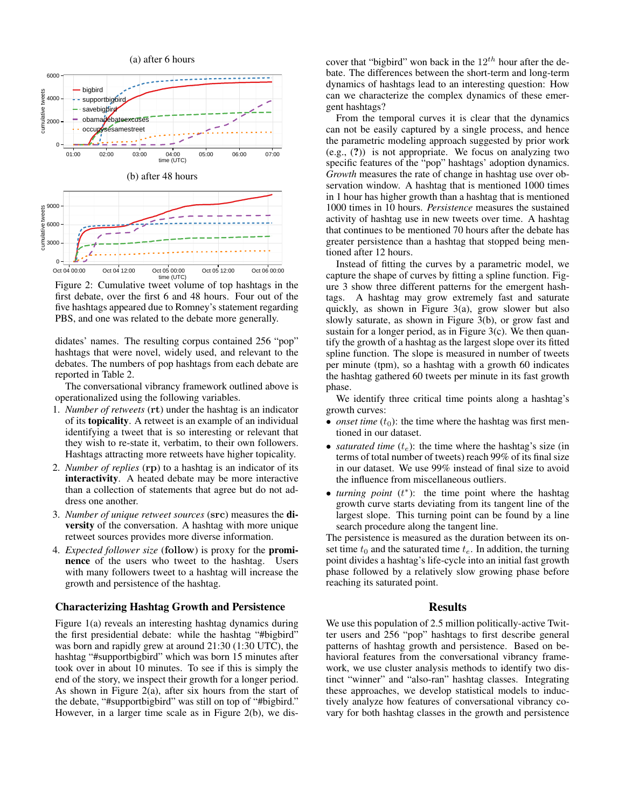

Figure 2: Cumulative tweet volume of top hashtags in the first debate, over the first 6 and 48 hours. Four out of the five hashtags appeared due to Romney's statement regarding PBS, and one was related to the debate more generally.

didates' names. The resulting corpus contained 256 "pop" hashtags that were novel, widely used, and relevant to the debates. The numbers of pop hashtags from each debate are reported in Table 2.

The conversational vibrancy framework outlined above is operationalized using the following variables.

- 1. *Number of retweets* (rt) under the hashtag is an indicator of its topicality. A retweet is an example of an individual identifying a tweet that is so interesting or relevant that they wish to re-state it, verbatim, to their own followers. Hashtags attracting more retweets have higher topicality.
- 2. *Number of replies* (rp) to a hashtag is an indicator of its interactivity. A heated debate may be more interactive than a collection of statements that agree but do not address one another.
- 3. *Number of unique retweet sources* (src) measures the diversity of the conversation. A hashtag with more unique retweet sources provides more diverse information.
- 4. *Expected follower size* (follow) is proxy for the prominence of the users who tweet to the hashtag. Users with many followers tweet to a hashtag will increase the growth and persistence of the hashtag.

#### Characterizing Hashtag Growth and Persistence

Figure 1(a) reveals an interesting hashtag dynamics during the first presidential debate: while the hashtag "#bigbird" was born and rapidly grew at around 21:30 (1:30 UTC), the hashtag "#supportbigbird" which was born 15 minutes after took over in about 10 minutes. To see if this is simply the end of the story, we inspect their growth for a longer period. As shown in Figure 2(a), after six hours from the start of the debate, "#supportbigbird" was still on top of "#bigbird." However, in a larger time scale as in Figure 2(b), we dis-

cover that "bigbird" won back in the  $12^{th}$  hour after the debate. The differences between the short-term and long-term dynamics of hashtags lead to an interesting question: How can we characterize the complex dynamics of these emergent hashtags?

From the temporal curves it is clear that the dynamics can not be easily captured by a single process, and hence the parametric modeling approach suggested by prior work (e.g., (?)) is not appropriate. We focus on analyzing two specific features of the "pop" hashtags' adoption dynamics. *Growth* measures the rate of change in hashtag use over observation window. A hashtag that is mentioned 1000 times in 1 hour has higher growth than a hashtag that is mentioned 1000 times in 10 hours. *Persistence* measures the sustained activity of hashtag use in new tweets over time. A hashtag that continues to be mentioned 70 hours after the debate has greater persistence than a hashtag that stopped being mentioned after 12 hours.

Instead of fitting the curves by a parametric model, we capture the shape of curves by fitting a spline function. Figure 3 show three different patterns for the emergent hashtags. A hashtag may grow extremely fast and saturate quickly, as shown in Figure 3(a), grow slower but also slowly saturate, as shown in Figure 3(b), or grow fast and sustain for a longer period, as in Figure  $3(c)$ . We then quantify the growth of a hashtag as the largest slope over its fitted spline function. The slope is measured in number of tweets per minute (tpm), so a hashtag with a growth 60 indicates the hashtag gathered 60 tweets per minute in its fast growth phase.

We identify three critical time points along a hashtag's growth curves:

- *onset time*  $(t_0)$ : the time where the hashtag was first mentioned in our dataset.
- *saturated time*  $(t_e)$ : the time where the hashtag's size (in terms of total number of tweets) reach 99% of its final size in our dataset. We use 99% instead of final size to avoid the influence from miscellaneous outliers.
- *turning point* (t ∗ ): the time point where the hashtag growth curve starts deviating from its tangent line of the largest slope. This turning point can be found by a line search procedure along the tangent line.

The persistence is measured as the duration between its onset time  $t_0$  and the saturated time  $t_e$ . In addition, the turning point divides a hashtag's life-cycle into an initial fast growth phase followed by a relatively slow growing phase before reaching its saturated point.

#### Results

We use this population of 2.5 million politically-active Twitter users and 256 "pop" hashtags to first describe general patterns of hashtag growth and persistence. Based on behavioral features from the conversational vibrancy framework, we use cluster analysis methods to identify two distinct "winner" and "also-ran" hashtag classes. Integrating these approaches, we develop statistical models to inductively analyze how features of conversational vibrancy covary for both hashtag classes in the growth and persistence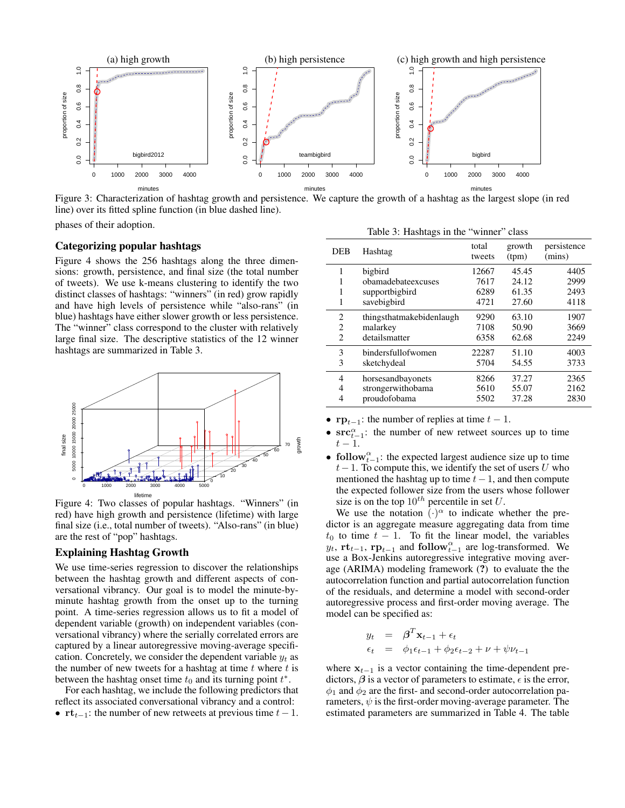

Figure 3: Characterization of hashtag growth and persistence. We capture the growth of a hashtag as the largest slope (in red line) over its fitted spline function (in blue dashed line).

phases of their adoption.

## Categorizing popular hashtags

Figure 4 shows the 256 hashtags along the three dimensions: growth, persistence, and final size (the total number of tweets). We use k-means clustering to identify the two distinct classes of hashtags: "winners" (in red) grow rapidly and have high levels of persistence while "also-rans" (in blue) hashtags have either slower growth or less persistence. The "winner" class correspond to the cluster with relatively large final size. The descriptive statistics of the 12 winner hashtags are summarized in Table 3.



Figure 4: Two classes of popular hashtags. "Winners" (in red) have high growth and persistence (lifetime) with large final size (i.e., total number of tweets). "Also-rans" (in blue) are the rest of "pop" hashtags.

#### Explaining Hashtag Growth

We use time-series regression to discover the relationships between the hashtag growth and different aspects of conversational vibrancy. Our goal is to model the minute-byminute hashtag growth from the onset up to the turning point. A time-series regression allows us to fit a model of dependent variable (growth) on independent variables (conversational vibrancy) where the serially correlated errors are captured by a linear autoregressive moving-average specification. Concretely, we consider the dependent variable  $y_t$  as the number of new tweets for a hashtag at time  $t$  where  $t$  is between the hashtag onset time  $t_0$  and its turning point  $t^*$ .

For each hashtag, we include the following predictors that reflect its associated conversational vibrancy and a control: •  $\mathbf{rt}_{t-1}$ : the number of new retweets at previous time  $t-1$ .

|  | Table 3: Hashtags in the "winner" class |  |  |  |  |
|--|-----------------------------------------|--|--|--|--|
|--|-----------------------------------------|--|--|--|--|

| <b>DEB</b>     | Hashtag                                                        | total<br>tweets               | growth<br>(tpm)                  | persistence<br>(mins)        |
|----------------|----------------------------------------------------------------|-------------------------------|----------------------------------|------------------------------|
| 1<br>1         | bigbird<br>obamadebateexcuses<br>supportbigbird<br>savebigbird | 12667<br>7617<br>6289<br>4721 | 45.45<br>24.12<br>61.35<br>27.60 | 4405<br>2999<br>2493<br>4118 |
| 2              | thingsthatmakebidenlaugh                                       | 9290                          | 63.10                            | 1907                         |
| 2              | malarkey                                                       | 7108                          | 50.90                            | 3669                         |
| $\mathfrak{D}$ | detailsmatter                                                  | 6358                          | 62.68                            | 2249                         |
| 3              | bindersfullofwomen                                             | 22287                         | 51.10                            | 4003                         |
| 3              | sketchydeal                                                    | 5704                          | 54.55                            | 3733                         |
| 4              | horsesandbayonets                                              | 8266                          | 37.27                            | 2365                         |
| 4              | strongerwithobama                                              | 5610                          | 55.07                            | 2162                         |
| 4              | proudofobama                                                   | 5502                          | 37.28                            | 2830                         |

- $\mathbf{rp}_{t-1}$ : the number of replies at time  $t-1$ .
- $src_{t-1}^{\alpha}$ : the number of new retweet sources up to time  $t-1$ .
- follow $_{t-1}^{\alpha}$ : the expected largest audience size up to time  $t-1$ . To compute this, we identify the set of users U who mentioned the hashtag up to time  $t-1$ , and then compute the expected follower size from the users whose follower size is on the top  $10^{th}$  percentile in set U.

We use the notation  $\overline{(\cdot)}^{\alpha}$  to indicate whether the predictor is an aggregate measure aggregating data from time  $t_0$  to time  $t - 1$ . To fit the linear model, the variables  $y_t$ ,  $\mathbf{rt}_{t-1}$ ,  $\mathbf{rp}_{t-1}$  and  $\text{follow}_{t-1}^{\alpha}$  are log-transformed. We use a Box-Jenkins autoregressive integrative moving average (ARIMA) modeling framework (?) to evaluate the the autocorrelation function and partial autocorrelation function of the residuals, and determine a model with second-order autoregressive process and first-order moving average. The model can be specified as:

$$
y_t = \beta^T \mathbf{x}_{t-1} + \epsilon_t
$$
  
\n
$$
\epsilon_t = \phi_1 \epsilon_{t-1} + \phi_2 \epsilon_{t-2} + \nu + \psi \nu_{t-1}
$$

where  $x_{t-1}$  is a vector containing the time-dependent predictors,  $\beta$  is a vector of parameters to estimate,  $\epsilon$  is the error,  $\phi_1$  and  $\phi_2$  are the first- and second-order autocorrelation parameters,  $\psi$  is the first-order moving-average parameter. The estimated parameters are summarized in Table 4. The table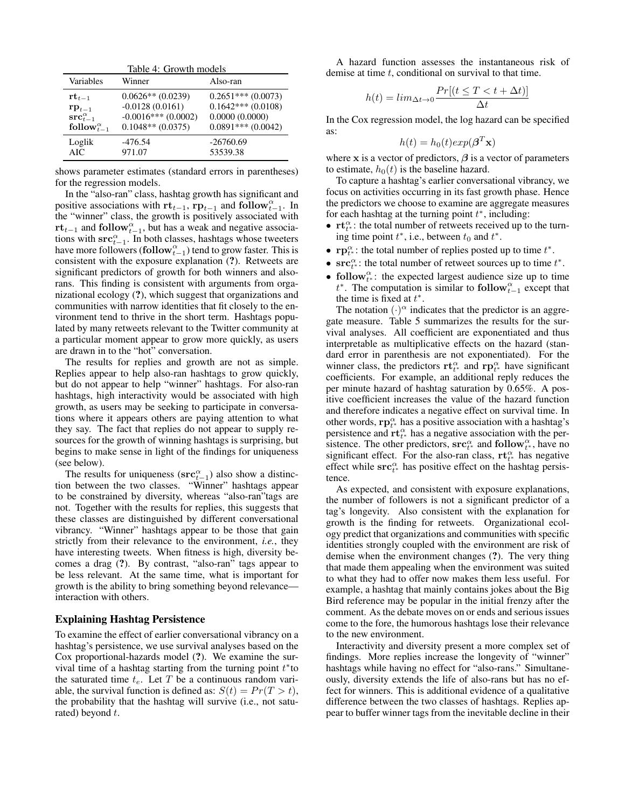Table 4: Growth models

| Variables                          | Winner                 | Also-ran               |
|------------------------------------|------------------------|------------------------|
| $\mathbf{r} \mathbf{t}_{t-1}$      | $0.0626**$ (0.0239)    | $0.2651***(0.0073)$    |
| $\mathbf{rp}_{t-1}$                | $-0.0128(0.0161)$      | $0.1642***(0.0108)$    |
| $\text{src}_{t-1}^{\alpha}$        | $-0.0016$ *** (0.0002) | 0.0000(0.0000)         |
| follow <sub><math>t-1</math></sub> | $0.1048**$ (0.0375)    | $0.0891***$ $(0.0042)$ |
| Loglik                             | $-476.54$              | $-26760.69$            |
| AIC.                               | 971.07                 | 53539.38               |

shows parameter estimates (standard errors in parentheses) for the regression models.

In the "also-ran" class, hashtag growth has significant and positive associations with  $\mathbf{rt}_{t-1}$ ,  $\mathbf{rp}_{t-1}$  and  $\mathbf{follow}_{t-1}^{\alpha}$ . In the "winner" class, the growth is positively associated with rt<sub>t−1</sub> and follow<sub>t<sup> $\alpha$ </sup><sub>t−1</sub>, but has a weak and negative associa-</sub> tions with  $src_{t-1}^{\alpha}$ . In both classes, hashtags whose tweeters have more followers (follow $_{t-1}^{\alpha}$ ) tend to grow faster. This is consistent with the exposure explanation (?). Retweets are significant predictors of growth for both winners and alsorans. This finding is consistent with arguments from organizational ecology (?), which suggest that organizations and communities with narrow identities that fit closely to the environment tend to thrive in the short term. Hashtags populated by many retweets relevant to the Twitter community at a particular moment appear to grow more quickly, as users are drawn in to the "hot" conversation.

The results for replies and growth are not as simple. Replies appear to help also-ran hashtags to grow quickly, but do not appear to help "winner" hashtags. For also-ran hashtags, high interactivity would be associated with high growth, as users may be seeking to participate in conversations where it appears others are paying attention to what they say. The fact that replies do not appear to supply resources for the growth of winning hashtags is surprising, but begins to make sense in light of the findings for uniqueness (see below).

The results for uniqueness  $(\text{src}_{t-1}^{\alpha})$  also show a distinction between the two classes. "Winner" hashtags appear to be constrained by diversity, whereas "also-ran"tags are not. Together with the results for replies, this suggests that these classes are distinguished by different conversational vibrancy. "Winner" hashtags appear to be those that gain strictly from their relevance to the environment, *i.e.*, they have interesting tweets. When fitness is high, diversity becomes a drag (?). By contrast, "also-ran" tags appear to be less relevant. At the same time, what is important for growth is the ability to bring something beyond relevance interaction with others.

#### Explaining Hashtag Persistence

To examine the effect of earlier conversational vibrancy on a hashtag's persistence, we use survival analyses based on the Cox proportional-hazards model (?). We examine the survival time of a hashtag starting from the turning point  $t^*$  to the saturated time  $t_e$ . Let T be a continuous random variable, the survival function is defined as:  $S(t) = Pr(T > t)$ , the probability that the hashtag will survive (i.e., not saturated) beyond  $t$ .

A hazard function assesses the instantaneous risk of demise at time  $t$ , conditional on survival to that time.

$$
h(t) = lim_{\Delta t \to 0} \frac{Pr[(t \le T < t + \Delta t)]}{\Delta t}
$$

In the Cox regression model, the log hazard can be specified as:

$$
h(t) = h_0(t) exp(\boldsymbol{\beta}^T \mathbf{x})
$$

where x is a vector of predictors,  $\beta$  is a vector of parameters to estimate,  $h_0(t)$  is the baseline hazard.

To capture a hashtag's earlier conversational vibrancy, we focus on activities occurring in its fast growth phase. Hence the predictors we choose to examine are aggregate measures for each hashtag at the turning point  $t^*$ , including:

- $\mathbf{rt}_{t}^{\alpha}$ : the total number of retweets received up to the turning time point  $t^*$ , i.e., between  $t_0$  and  $t^*$ .
- $\mathbf{rp}^{\alpha}_{t^*}$ : the total number of replies posted up to time  $t^*$ .
- $src_{t^*}^{\alpha}$ : the total number of retweet sources up to time  $t^*$ .
- follow<sub>t\*</sub>: the expected largest audience size up to time  $t^*$ . The computation is similar to follow $_{t-1}^{\alpha}$  except that the time is fixed at  $t^*$ .

The notation  $(\cdot)^\alpha$  indicates that the predictor is an aggregate measure. Table 5 summarizes the results for the survival analyses. All coefficient are exponentiated and thus interpretable as multiplicative effects on the hazard (standard error in parenthesis are not exponentiated). For the winner class, the predictors  $\mathbf{r} \mathbf{t}_{t^*}^{\alpha}$  and  $\mathbf{r} \mathbf{p}_{t^*}^{\alpha}$  have significant coefficients. For example, an additional reply reduces the per minute hazard of hashtag saturation by 0.65%. A positive coefficient increases the value of the hazard function and therefore indicates a negative effect on survival time. In other words,  $\mathbf{rp}^{\alpha}_{t^*}$  has a positive association with a hashtag's persistence and  $\mathbf{r}\mathbf{t}_{t^*}^{\alpha}$  has a negative association with the persistence. The other predictors,  $\operatorname{src}_{t^*}^{\alpha}$  and follow ${}_{t^*}^{\alpha}$ , have no significant effect. For the also-ran class,  $\mathbf{rt}_{t^*}^{\alpha}$  has negative effect while  $src_{t*}^{\alpha}$  has positive effect on the hashtag persistence.

As expected, and consistent with exposure explanations, the number of followers is not a significant predictor of a tag's longevity. Also consistent with the explanation for growth is the finding for retweets. Organizational ecology predict that organizations and communities with specific identities strongly coupled with the environment are risk of demise when the environment changes (?). The very thing that made them appealing when the environment was suited to what they had to offer now makes them less useful. For example, a hashtag that mainly contains jokes about the Big Bird reference may be popular in the initial frenzy after the comment. As the debate moves on or ends and serious issues come to the fore, the humorous hashtags lose their relevance to the new environment.

Interactivity and diversity present a more complex set of findings. More replies increase the longevity of "winner" hashtags while having no effect for "also-rans." Simultaneously, diversity extends the life of also-rans but has no effect for winners. This is additional evidence of a qualitative difference between the two classes of hashtags. Replies appear to buffer winner tags from the inevitable decline in their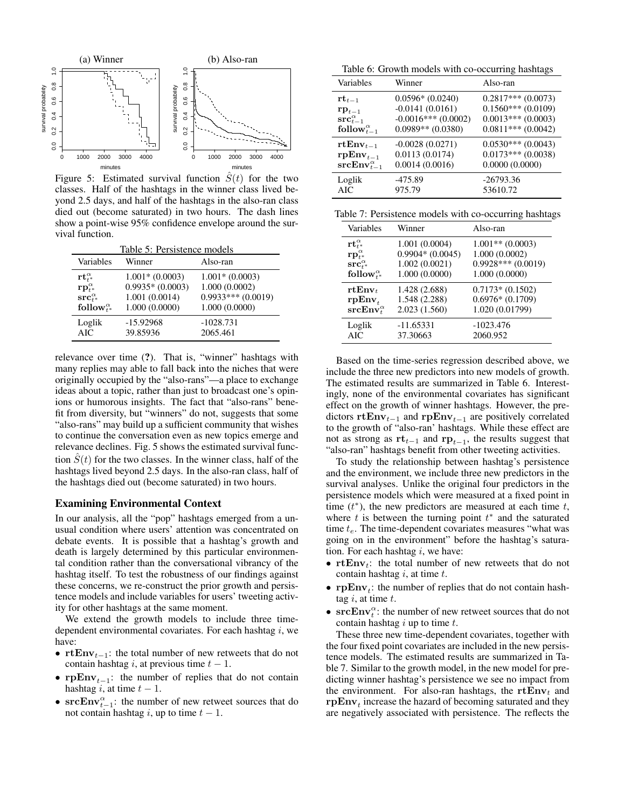

Figure 5: Estimated survival function  $\hat{S}(t)$  for the two classes. Half of the hashtags in the winner class lived beyond 2.5 days, and half of the hashtags in the also-ran class died out (become saturated) in two hours. The dash lines show a point-wise 95% confidence envelope around the survival function.

| Table 5: Persistence models                              |                   |                     |  |
|----------------------------------------------------------|-------------------|---------------------|--|
| Variables                                                | Winner            | Also-ran            |  |
| $\mathbf{r}\mathbf{t}^{\alpha}_{\scriptscriptstyle{f}*}$ | $1.001*(0.0003)$  | $1.001*(0.0003)$    |  |
| $\mathbf{r}\mathbf{p}^{\alpha}_{t^*}$                    | $0.9935*(0.0003)$ | 1.000(0.0002)       |  |
| $\mathbf{src}_{t^*}^{\alpha}$                            | 1.001 (0.0014)    | $0.9933***(0.0019)$ |  |
| follow <sup><math>\alpha_{t*}</math></sup>               | 1.000(0.0000)     | 1.000(0.0000)       |  |
| Loglik                                                   | $-15.92968$       | $-1028.731$         |  |
| <b>AIC</b>                                               | 39.85936          | 2065.461            |  |

relevance over time (?). That is, "winner" hashtags with many replies may able to fall back into the niches that were originally occupied by the "also-rans"—a place to exchange ideas about a topic, rather than just to broadcast one's opinions or humorous insights. The fact that "also-rans" benefit from diversity, but "winners" do not, suggests that some "also-rans" may build up a sufficient community that wishes to continue the conversation even as new topics emerge and relevance declines. Fig. 5 shows the estimated survival function  $S(t)$  for the two classes. In the winner class, half of the hashtags lived beyond 2.5 days. In the also-ran class, half of the hashtags died out (become saturated) in two hours.

## Examining Environmental Context

In our analysis, all the "pop" hashtags emerged from a unusual condition where users' attention was concentrated on debate events. It is possible that a hashtag's growth and death is largely determined by this particular environmental condition rather than the conversational vibrancy of the hashtag itself. To test the robustness of our findings against these concerns, we re-construct the prior growth and persistence models and include variables for users' tweeting activity for other hashtags at the same moment.

We extend the growth models to include three timedependent environmental covariates. For each hashtag  $i$ , we have:

- rtEnv<sub>t−1</sub>: the total number of new retweets that do not contain hashtag i, at previous time  $t - 1$ .
- rpEnv<sub>t−1</sub>: the number of replies that do not contain hashtag i, at time  $t - 1$ .
- $srcEnv_{t-1}^{\alpha}$ : the number of new retweet sources that do not contain hashtag i, up to time  $t - 1$ .

Table 6: Growth models with co-occurring hashtags

| Variables                        | Winner                | Also-ran             |
|----------------------------------|-----------------------|----------------------|
| $\mathbf{rt}_{t-1}$              | $0.0596*(0.0240)$     | $0.2817***(0.0073)$  |
| $\mathbf{rp}_{t-1}$              | $-0.0141(0.0161)$     | $0.1560***(0.0109)$  |
| $\mathbf{src}_{t-1}^{\alpha}$    | $-0.0016***$ (0.0002) | $0.0013***(0.0003)$  |
| follow $\alpha_{t-1}^{\alpha}$   | $0.0989**$ (0.0380)   | $0.0811***(0.0042)$  |
| $rtEnv_{t-1}$                    | $-0.0028(0.0271)$     | $0.0530***(0.0043)$  |
| $\mathbf{rpEnv}_{t-1}$           | 0.0113(0.0174)        | $0.0173***$ (0.0038) |
| $\textbf{srcEnv}_{t-1}^{\alpha}$ | 0.0014(0.0016)        | 0.0000(0.0000)       |
| Loglik                           | $-475.89$             | $-26793.36$          |
| AIC                              | 975.79                | 53610.72             |

| Table 7: Persistence models with co-occurring hashtags |
|--------------------------------------------------------|
|--------------------------------------------------------|

| Variables                                               | Winner            | Also-ran            |
|---------------------------------------------------------|-------------------|---------------------|
| $\mathbf{r}\mathbf{t}^{\alpha}_{\scriptscriptstyle{f}}$ | 1.001 (0.0004)    | $1.001**$ (0.0003)  |
| $\mathbf{r}\mathbf{p}_{t^*}^{\alpha}$                   | $0.9904*(0.0045)$ | 1.000(0.0002)       |
| $\mathbf{src}_{t^*}^{\alpha}$                           | 1.002(0.0021)     | $0.9928***(0.0019)$ |
| follow <sup><math>\alpha_{t*}</math></sup>              | 1.000 (0.0000)    | 1.000(0.0000)       |
| $rtEnv_t$                                               | 1.428 (2.688)     | $0.7173*(0.1502)$   |
| $rpEnv_{t}$                                             | 1.548 (2.288)     | $0.6976*(0.1709)$   |
| $\textbf{srcEnv}^{\alpha}_t$                            | 2.023(1.560)      | 1.020 (0.01799)     |
| Loglik                                                  | $-11.65331$       | $-1023.476$         |
| <b>AIC</b>                                              | 37.30663          | 2060.952            |

Based on the time-series regression described above, we include the three new predictors into new models of growth. The estimated results are summarized in Table 6. Interestingly, none of the environmental covariates has significant effect on the growth of winner hashtags. However, the predictors rtEnv<sub>t−1</sub> and rpEnv<sub>t−1</sub> are positively correlated to the growth of "also-ran' hashtags. While these effect are not as strong as  $rt_{t-1}$  and  $rp_{t-1}$ , the results suggest that "also-ran" hashtags benefit from other tweeting activities.

To study the relationship between hashtag's persistence and the environment, we include three new predictors in the survival analyses. Unlike the original four predictors in the persistence models which were measured at a fixed point in time  $(t^*)$ , the new predictors are measured at each time  $t$ , where  $t$  is between the turning point  $t^*$  and the saturated time  $t_e$ . The time-dependent covariates measures "what was going on in the environment" before the hashtag's saturation. For each hashtag  $i$ , we have:

- rt $\text{Env}_t$ : the total number of new retweets that do not contain hashtag  $i$ , at time  $t$ .
- **rpEnv**<sub>t</sub>: the number of replies that do not contain hashtag  $i$ , at time  $t$ .
- $\mathbf{srcEnv}_{t}^{\alpha}$ : the number of new retweet sources that do not contain hashtag  $i$  up to time  $t$ .

These three new time-dependent covariates, together with the four fixed point covariates are included in the new persistence models. The estimated results are summarized in Table 7. Similar to the growth model, in the new model for predicting winner hashtag's persistence we see no impact from the environment. For also-ran hashtags, the  $rtEnv_t$  and  $\mathbf{r} \mathbf{p} \mathbf{E} \mathbf{n} \mathbf{v}_t$  increase the hazard of becoming saturated and they are negatively associated with persistence. The reflects the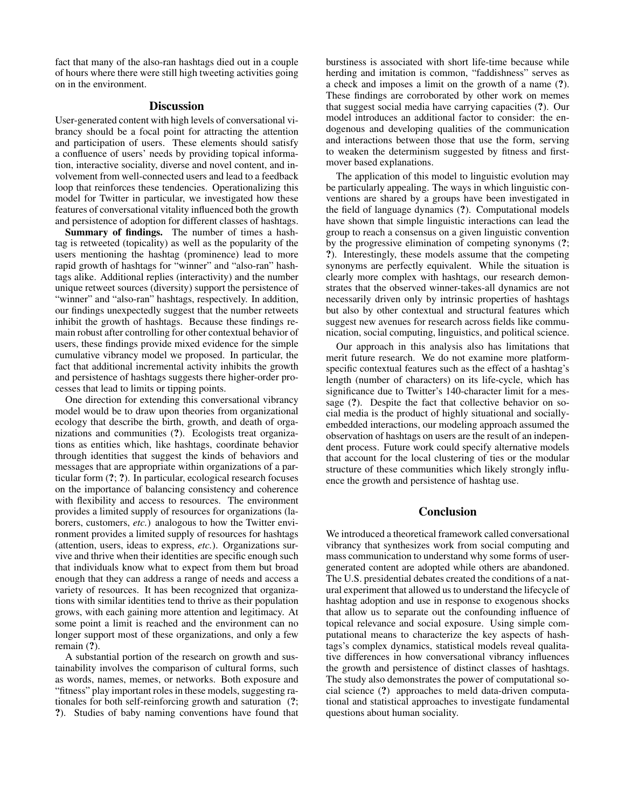fact that many of the also-ran hashtags died out in a couple of hours where there were still high tweeting activities going on in the environment.

## **Discussion**

User-generated content with high levels of conversational vibrancy should be a focal point for attracting the attention and participation of users. These elements should satisfy a confluence of users' needs by providing topical information, interactive sociality, diverse and novel content, and involvement from well-connected users and lead to a feedback loop that reinforces these tendencies. Operationalizing this model for Twitter in particular, we investigated how these features of conversational vitality influenced both the growth and persistence of adoption for different classes of hashtags.

Summary of findings. The number of times a hashtag is retweeted (topicality) as well as the popularity of the users mentioning the hashtag (prominence) lead to more rapid growth of hashtags for "winner" and "also-ran" hashtags alike. Additional replies (interactivity) and the number unique retweet sources (diversity) support the persistence of "winner" and "also-ran" hashtags, respectively. In addition, our findings unexpectedly suggest that the number retweets inhibit the growth of hashtags. Because these findings remain robust after controlling for other contextual behavior of users, these findings provide mixed evidence for the simple cumulative vibrancy model we proposed. In particular, the fact that additional incremental activity inhibits the growth and persistence of hashtags suggests there higher-order processes that lead to limits or tipping points.

One direction for extending this conversational vibrancy model would be to draw upon theories from organizational ecology that describe the birth, growth, and death of organizations and communities (?). Ecologists treat organizations as entities which, like hashtags, coordinate behavior through identities that suggest the kinds of behaviors and messages that are appropriate within organizations of a particular form (?; ?). In particular, ecological research focuses on the importance of balancing consistency and coherence with flexibility and access to resources. The environment provides a limited supply of resources for organizations (laborers, customers, *etc.*) analogous to how the Twitter environment provides a limited supply of resources for hashtags (attention, users, ideas to express, *etc.*). Organizations survive and thrive when their identities are specific enough such that individuals know what to expect from them but broad enough that they can address a range of needs and access a variety of resources. It has been recognized that organizations with similar identities tend to thrive as their population grows, with each gaining more attention and legitimacy. At some point a limit is reached and the environment can no longer support most of these organizations, and only a few remain (?).

A substantial portion of the research on growth and sustainability involves the comparison of cultural forms, such as words, names, memes, or networks. Both exposure and "fitness" play important roles in these models, suggesting rationales for both self-reinforcing growth and saturation (?; ?). Studies of baby naming conventions have found that

burstiness is associated with short life-time because while herding and imitation is common, "faddishness" serves as a check and imposes a limit on the growth of a name (?). These findings are corroborated by other work on memes that suggest social media have carrying capacities (?). Our model introduces an additional factor to consider: the endogenous and developing qualities of the communication and interactions between those that use the form, serving to weaken the determinism suggested by fitness and firstmover based explanations.

The application of this model to linguistic evolution may be particularly appealing. The ways in which linguistic conventions are shared by a groups have been investigated in the field of language dynamics (?). Computational models have shown that simple linguistic interactions can lead the group to reach a consensus on a given linguistic convention by the progressive elimination of competing synonyms (?; ?). Interestingly, these models assume that the competing synonyms are perfectly equivalent. While the situation is clearly more complex with hashtags, our research demonstrates that the observed winner-takes-all dynamics are not necessarily driven only by intrinsic properties of hashtags but also by other contextual and structural features which suggest new avenues for research across fields like communication, social computing, linguistics, and political science.

Our approach in this analysis also has limitations that merit future research. We do not examine more platformspecific contextual features such as the effect of a hashtag's length (number of characters) on its life-cycle, which has significance due to Twitter's 140-character limit for a message (?). Despite the fact that collective behavior on social media is the product of highly situational and sociallyembedded interactions, our modeling approach assumed the observation of hashtags on users are the result of an independent process. Future work could specify alternative models that account for the local clustering of ties or the modular structure of these communities which likely strongly influence the growth and persistence of hashtag use.

## **Conclusion**

We introduced a theoretical framework called conversational vibrancy that synthesizes work from social computing and mass communication to understand why some forms of usergenerated content are adopted while others are abandoned. The U.S. presidential debates created the conditions of a natural experiment that allowed us to understand the lifecycle of hashtag adoption and use in response to exogenous shocks that allow us to separate out the confounding influence of topical relevance and social exposure. Using simple computational means to characterize the key aspects of hashtags's complex dynamics, statistical models reveal qualitative differences in how conversational vibrancy influences the growth and persistence of distinct classes of hashtags. The study also demonstrates the power of computational social science (?) approaches to meld data-driven computational and statistical approaches to investigate fundamental questions about human sociality.